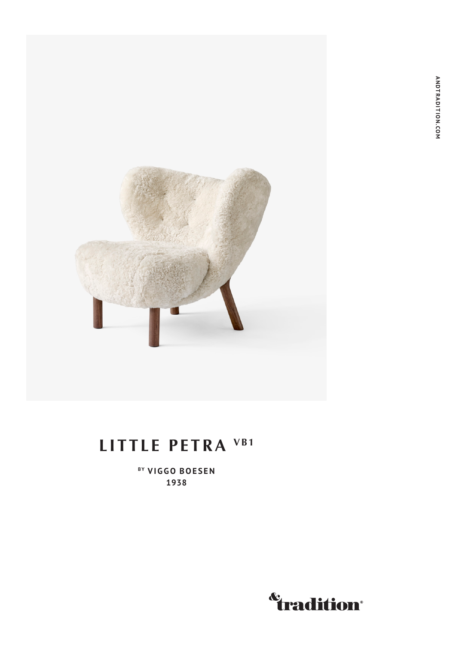

### **LITTLE PETRA VB1**

**BY VIGGO BOESEN 1938**

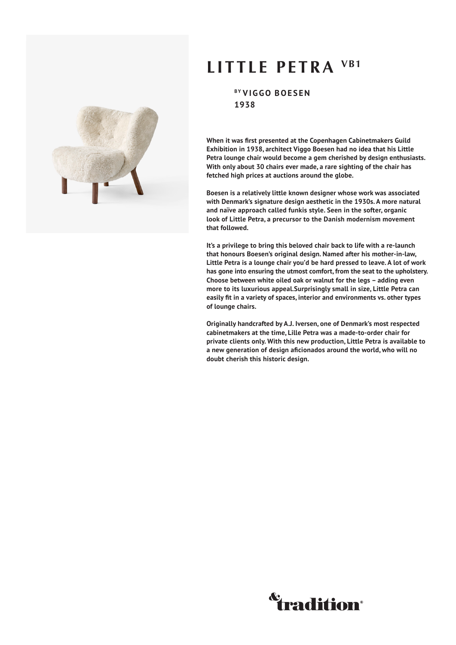

### **LITTLE PETRA VB1**

**BY VIGGO BOESEN 1938**

**When it was first presented at the Copenhagen Cabinetmakers Guild Exhibition in 1938, architect Viggo Boesen had no idea that his Little Petra lounge chair would become a gem cherished by design enthusiasts. With only about 30 chairs ever made, a rare sighting of the chair has fetched high prices at auctions around the globe.**

**Boesen is a relatively little known designer whose work was associated with Denmark's signature design aesthetic in the 1930s. A more natural and naïve approach called funkis style. Seen in the softer, organic look of Little Petra, a precursor to the Danish modernism movement that followed.**

**It's a privilege to bring this beloved chair back to life with a re-launch that honours Boesen's original design. Named after his mother-in-law, Little Petra is a lounge chair you'd be hard pressed to leave. A lot of work has gone into ensuring the utmost comfort, from the seat to the upholstery. Choose between white oiled oak or walnut for the legs – adding even more to its luxurious appeal.Surprisingly small in size, Little Petra can easily fit in a variety of spaces, interior and environments vs. other types of lounge chairs.**

**Originally handcrafted by A.J. Iversen, one of Denmark's most respected cabinetmakers at the time, Lille Petra was a made-to-order chair for private clients only. With this new production, Little Petra is available to a new generation of design aficionados around the world, who will no doubt cherish this historic design.**

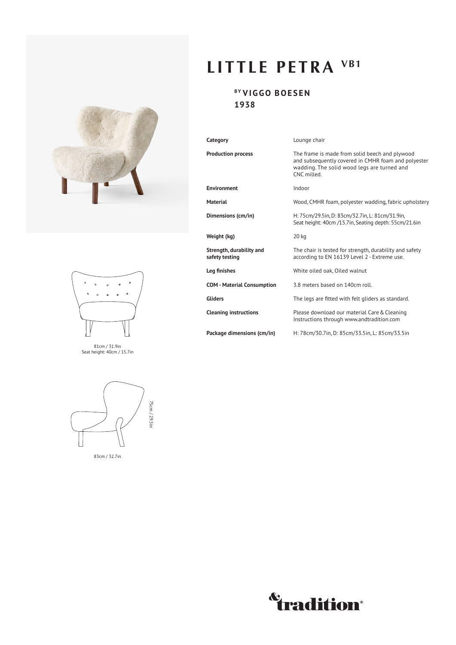



81cm / 31.9in Seat height: 40cm / 15.7in



83cm / 32.7in

## **LITTLE PETRA VB1**

### **BY VIGGO BOESEN 1938**

| Category                                   | Lounge chair                                                                                                                                                       |
|--------------------------------------------|--------------------------------------------------------------------------------------------------------------------------------------------------------------------|
| <b>Production process</b>                  | The frame is made from solid beech and plywood<br>and subsequently covered in CMHR foam and polyester<br>wadding. The solid wood legs are turned and<br>CNC milled |
| <b>Environment</b>                         | Indoor                                                                                                                                                             |
| <b>Material</b>                            | Wood, CMHR foam, polyester wadding, fabric upholstery                                                                                                              |
| Dimensions (cm/in)                         | H: 75cm/29.5in, D: 83cm/32.7in, L: 81cm/31.9in,<br>Seat height: 40cm /15.7in, Seating depth: 55cm/21.6in                                                           |
| Weight (kg)                                | 20 kg                                                                                                                                                              |
| Strength, durability and<br>safety testing | The chair is tested for strength, durability and safety<br>according to EN 16139 Level 2 - Extreme use.                                                            |
| Leg finishes                               | White oiled oak, Oiled walnut                                                                                                                                      |
| <b>COM - Material Consumption</b>          | 3.8 meters based on 140cm roll.                                                                                                                                    |
| <b>Gliders</b>                             | The legs are fitted with felt gliders as standard.                                                                                                                 |
| <b>Cleaning instructions</b>               | Please download our material Care & Cleaning<br>Instructions through www.andtradition.com                                                                          |
| Package dimensions (cm/in)                 | H: 78cm/30.7in, D: 85cm/33.5in, L: 85cm/33.5in                                                                                                                     |